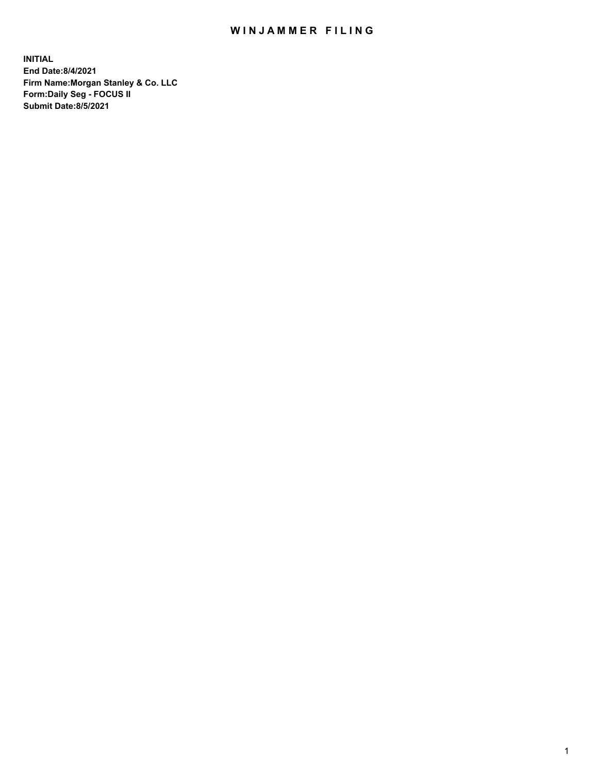## WIN JAMMER FILING

**INITIAL End Date:8/4/2021 Firm Name:Morgan Stanley & Co. LLC Form:Daily Seg - FOCUS II Submit Date:8/5/2021**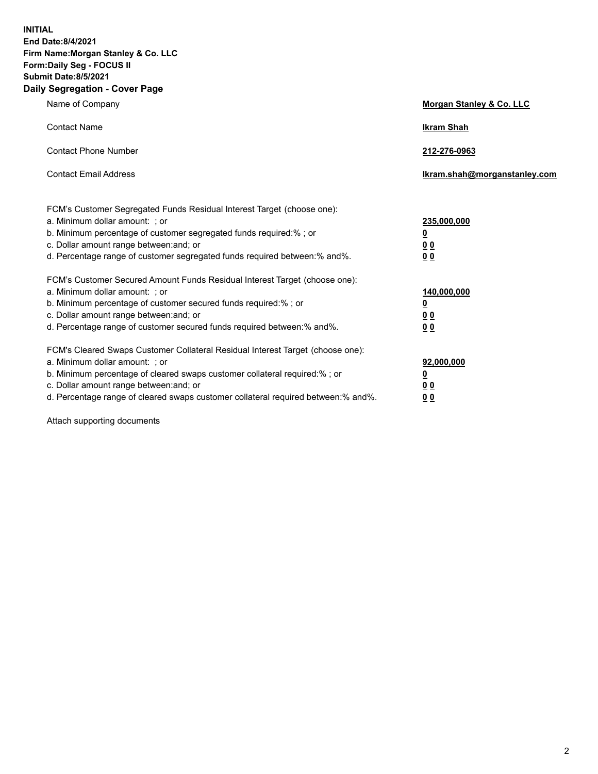**INITIAL End Date:8/4/2021 Firm Name:Morgan Stanley & Co. LLC Form:Daily Seg - FOCUS II Submit Date:8/5/2021 Daily Segregation - Cover Page**

| Name of Company                                                                                                                                                                                                                                                                                                                | <b>Morgan Stanley &amp; Co. LLC</b>                        |
|--------------------------------------------------------------------------------------------------------------------------------------------------------------------------------------------------------------------------------------------------------------------------------------------------------------------------------|------------------------------------------------------------|
| <b>Contact Name</b>                                                                                                                                                                                                                                                                                                            | <b>Ikram Shah</b>                                          |
| <b>Contact Phone Number</b>                                                                                                                                                                                                                                                                                                    | 212-276-0963                                               |
| <b>Contact Email Address</b>                                                                                                                                                                                                                                                                                                   | lkram.shah@morganstanley.com                               |
| FCM's Customer Segregated Funds Residual Interest Target (choose one):<br>a. Minimum dollar amount: ; or<br>b. Minimum percentage of customer segregated funds required:%; or<br>c. Dollar amount range between: and; or<br>d. Percentage range of customer segregated funds required between: % and %.                        | 235,000,000<br><u>0</u><br><u>00</u><br>0 <sup>0</sup>     |
| FCM's Customer Secured Amount Funds Residual Interest Target (choose one):<br>a. Minimum dollar amount: ; or<br>b. Minimum percentage of customer secured funds required:%; or<br>c. Dollar amount range between: and; or<br>d. Percentage range of customer secured funds required between: % and %.                          | 140,000,000<br><u>0</u><br><u>00</u><br>0 <sup>0</sup>     |
| FCM's Cleared Swaps Customer Collateral Residual Interest Target (choose one):<br>a. Minimum dollar amount: ; or<br>b. Minimum percentage of cleared swaps customer collateral required:% ; or<br>c. Dollar amount range between: and; or<br>d. Percentage range of cleared swaps customer collateral required between:% and%. | 92,000,000<br><u>0</u><br>0 <sup>0</sup><br>0 <sub>0</sub> |

Attach supporting documents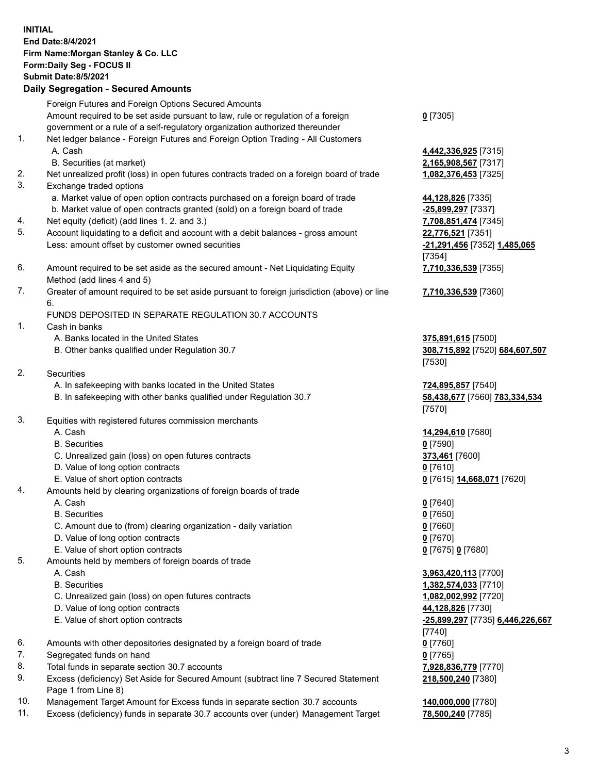| <b>INITIAL</b> | <b>End Date:8/4/2021</b><br>Firm Name: Morgan Stanley & Co. LLC<br>Form: Daily Seg - FOCUS II<br><b>Submit Date: 8/5/2021</b><br><b>Daily Segregation - Secured Amounts</b> |                                           |
|----------------|-----------------------------------------------------------------------------------------------------------------------------------------------------------------------------|-------------------------------------------|
|                | Foreign Futures and Foreign Options Secured Amounts                                                                                                                         |                                           |
|                | Amount required to be set aside pursuant to law, rule or regulation of a foreign<br>government or a rule of a self-regulatory organization authorized thereunder            | $0$ [7305]                                |
| 1.             | Net ledger balance - Foreign Futures and Foreign Option Trading - All Customers                                                                                             |                                           |
|                | A. Cash                                                                                                                                                                     | 4,442,336,925 [7315]                      |
|                | B. Securities (at market)                                                                                                                                                   | 2,165,908,567 [7317]                      |
| 2.<br>3.       | Net unrealized profit (loss) in open futures contracts traded on a foreign board of trade<br>Exchange traded options                                                        | 1,082,376,453 [7325]                      |
|                | a. Market value of open option contracts purchased on a foreign board of trade                                                                                              | 44,128,826 [7335]                         |
|                | b. Market value of open contracts granted (sold) on a foreign board of trade                                                                                                | -25,899,297 [7337]                        |
| 4.             | Net equity (deficit) (add lines 1. 2. and 3.)                                                                                                                               | 7,708,851,474 [7345]                      |
| 5.             | Account liquidating to a deficit and account with a debit balances - gross amount                                                                                           | 22,776,521 [7351]                         |
|                | Less: amount offset by customer owned securities                                                                                                                            | -21,291,456 [7352] 1,485,065              |
| 6.             | Amount required to be set aside as the secured amount - Net Liquidating Equity                                                                                              | [7354]<br>7,710,336,539 [7355]            |
|                | Method (add lines 4 and 5)                                                                                                                                                  |                                           |
| 7.             | Greater of amount required to be set aside pursuant to foreign jurisdiction (above) or line                                                                                 | 7,710,336,539 [7360]                      |
|                | 6.                                                                                                                                                                          |                                           |
| 1.             | FUNDS DEPOSITED IN SEPARATE REGULATION 30.7 ACCOUNTS<br>Cash in banks                                                                                                       |                                           |
|                | A. Banks located in the United States                                                                                                                                       | 375,891,615 [7500]                        |
|                | B. Other banks qualified under Regulation 30.7                                                                                                                              | 308,715,892 [7520] 684,607,507<br>[7530]  |
| 2.             | Securities                                                                                                                                                                  |                                           |
|                | A. In safekeeping with banks located in the United States                                                                                                                   | 724,895,857 [7540]                        |
|                | B. In safekeeping with other banks qualified under Regulation 30.7                                                                                                          | 58,438,677 [7560] 783,334,534<br>[7570]   |
| 3.             | Equities with registered futures commission merchants                                                                                                                       |                                           |
|                | A. Cash<br><b>B.</b> Securities                                                                                                                                             | 14,294,610 [7580]                         |
|                | C. Unrealized gain (loss) on open futures contracts                                                                                                                         | $0$ [7590]<br>373,461 [7600]              |
|                | D. Value of long option contracts                                                                                                                                           | $0$ [7610]                                |
|                | E. Value of short option contracts                                                                                                                                          | 0 [7615] 14,668,071 [7620]                |
| 4.             | Amounts held by clearing organizations of foreign boards of trade                                                                                                           |                                           |
|                | A. Cash                                                                                                                                                                     | $0$ [7640]                                |
|                | <b>B.</b> Securities<br>C. Amount due to (from) clearing organization - daily variation                                                                                     | $0$ [7650]<br>$0$ [7660]                  |
|                | D. Value of long option contracts                                                                                                                                           | $0$ [7670]                                |
|                | E. Value of short option contracts                                                                                                                                          | 0 [7675] 0 [7680]                         |
| 5.             | Amounts held by members of foreign boards of trade                                                                                                                          |                                           |
|                | A. Cash                                                                                                                                                                     | 3,963,420,113 [7700]                      |
|                | <b>B.</b> Securities                                                                                                                                                        | 1,382,574,033 [7710]                      |
|                | C. Unrealized gain (loss) on open futures contracts<br>D. Value of long option contracts                                                                                    | 1,082,002,992 [7720]<br>44,128,826 [7730] |
|                | E. Value of short option contracts                                                                                                                                          | -25,899,297 [7735] 6,446,226,667          |
|                |                                                                                                                                                                             | [7740]                                    |
| 6.             | Amounts with other depositories designated by a foreign board of trade                                                                                                      | $0$ [7760]                                |
| 7.             | Segregated funds on hand                                                                                                                                                    | $0$ [7765]                                |
| 8.             | Total funds in separate section 30.7 accounts                                                                                                                               | 7,928,836,779 [7770]                      |
| 9.             | Excess (deficiency) Set Aside for Secured Amount (subtract line 7 Secured Statement<br>Page 1 from Line 8)                                                                  | 218,500,240 [7380]                        |

- 10. Management Target Amount for Excess funds in separate section 30.7 accounts **140,000,000** [7780]<br>11. Excess (deficiency) funds in separate 30.7 accounts over (under) Management Target 78,500,240 [7785]
- 11. Excess (deficiency) funds in separate 30.7 accounts over (under) Management Target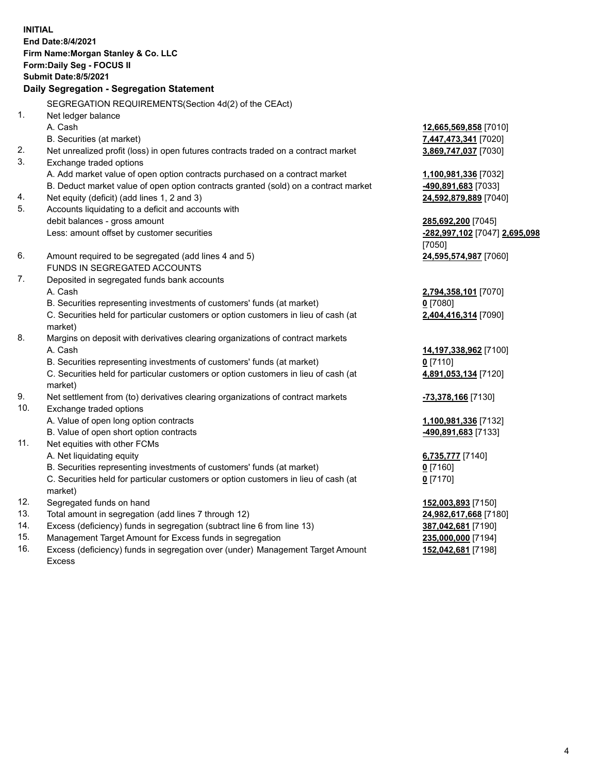| <b>INITIAL</b> | End Date: 8/4/2021<br>Firm Name: Morgan Stanley & Co. LLC<br>Form: Daily Seg - FOCUS II<br><b>Submit Date: 8/5/2021</b><br>Daily Segregation - Segregation Statement |                               |
|----------------|----------------------------------------------------------------------------------------------------------------------------------------------------------------------|-------------------------------|
|                | SEGREGATION REQUIREMENTS(Section 4d(2) of the CEAct)                                                                                                                 |                               |
| 1.             | Net ledger balance                                                                                                                                                   |                               |
|                | A. Cash                                                                                                                                                              | 12,665,569,858 [7010]         |
|                | B. Securities (at market)                                                                                                                                            | 7,447,473,341 [7020]          |
| 2.             | Net unrealized profit (loss) in open futures contracts traded on a contract market                                                                                   | 3,869,747,037 [7030]          |
| 3.             | Exchange traded options                                                                                                                                              |                               |
|                | A. Add market value of open option contracts purchased on a contract market                                                                                          | 1,100,981,336 [7032]          |
|                | B. Deduct market value of open option contracts granted (sold) on a contract market                                                                                  | -490,891,683 [7033]           |
| 4.             | Net equity (deficit) (add lines 1, 2 and 3)                                                                                                                          | 24,592,879,889 [7040]         |
| 5.             | Accounts liquidating to a deficit and accounts with                                                                                                                  |                               |
|                | debit balances - gross amount                                                                                                                                        | 285,692,200 [7045]            |
|                | Less: amount offset by customer securities                                                                                                                           | -282,997,102 [7047] 2,695,098 |
|                |                                                                                                                                                                      | [7050]                        |
| 6.             | Amount required to be segregated (add lines 4 and 5)                                                                                                                 | 24,595,574,987 [7060]         |
|                | FUNDS IN SEGREGATED ACCOUNTS                                                                                                                                         |                               |
| 7.             | Deposited in segregated funds bank accounts                                                                                                                          |                               |
|                | A. Cash                                                                                                                                                              | 2,794,358,101 [7070]          |
|                | B. Securities representing investments of customers' funds (at market)                                                                                               | $0$ [7080]                    |
|                | C. Securities held for particular customers or option customers in lieu of cash (at<br>market)                                                                       | 2,404,416,314 [7090]          |
| 8.             | Margins on deposit with derivatives clearing organizations of contract markets                                                                                       |                               |
|                | A. Cash                                                                                                                                                              | 14,197,338,962 [7100]         |
|                | B. Securities representing investments of customers' funds (at market)                                                                                               | $0$ [7110]                    |
|                | C. Securities held for particular customers or option customers in lieu of cash (at                                                                                  | 4,891,053,134 [7120]          |
|                | market)                                                                                                                                                              |                               |
| 9.             | Net settlement from (to) derivatives clearing organizations of contract markets                                                                                      | -73,378,166 [7130]            |
| 10.            | Exchange traded options                                                                                                                                              |                               |
|                | A. Value of open long option contracts                                                                                                                               | 1,100,981,336 [7132]          |
|                | B. Value of open short option contracts                                                                                                                              | <u>-490,891,683</u> [7133]    |
| 11.            | Net equities with other FCMs                                                                                                                                         |                               |
|                | A. Net liquidating equity                                                                                                                                            | 6,735,777 [7140]              |
|                | B. Securities representing investments of customers' funds (at market)                                                                                               | $0$ [7160]                    |
|                | C. Securities held for particular customers or option customers in lieu of cash (at<br>market)                                                                       | $0$ [7170]                    |
| 12.            | Segregated funds on hand                                                                                                                                             | 152,003,893 [7150]            |
| 13.            | Total amount in segregation (add lines 7 through 12)                                                                                                                 | 24,982,617,668 [7180]         |
| 14.            | Excess (deficiency) funds in segregation (subtract line 6 from line 13)                                                                                              | 387,042,681 [7190]            |
|                |                                                                                                                                                                      |                               |

- 15. Management Target Amount for Excess funds in segregation<br>16. Excess (deficiency) funds in segregation over (under) Management Target Amount 152,042,681 [7198] Excess (deficiency) funds in segregation over (under) Management Target Amount
	- Excess

**152,042,681** [7198]